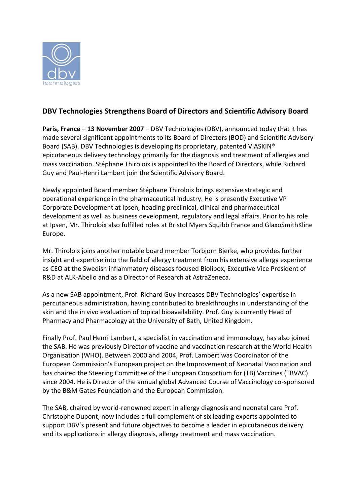

## **DBV Technologies Strengthens Board of Directors and Scientific Advisory Board**

**Paris, France – 13 November 2007** – DBV Technologies (DBV), announced today that it has made several significant appointments to its Board of Directors (BOD) and Scientific Advisory Board (SAB). DBV Technologies is developing its proprietary, patented VIASKIN® epicutaneous delivery technology primarily for the diagnosis and treatment of allergies and mass vaccination. Stéphane Thiroloix is appointed to the Board of Directors, while Richard Guy and Paul-Henri Lambert join the Scientific Advisory Board.

Newly appointed Board member Stéphane Thiroloix brings extensive strategic and operational experience in the pharmaceutical industry. He is presently Executive VP Corporate Development at Ipsen, heading preclinical, clinical and pharmaceutical development as well as business development, regulatory and legal affairs. Prior to his role at Ipsen, Mr. Thiroloix also fulfilled roles at Bristol Myers Squibb France and GlaxoSmithKline Europe.

Mr. Thiroloix joins another notable board member Torbjorn Bjerke, who provides further insight and expertise into the field of allergy treatment from his extensive allergy experience as CEO at the Swedish inflammatory diseases focused Biolipox, Executive Vice President of R&D at ALK-Abello and as a Director of Research at AstraZeneca.

As a new SAB appointment, Prof. Richard Guy increases DBV Technologies' expertise in percutaneous administration, having contributed to breakthroughs in understanding of the skin and the in vivo evaluation of topical bioavailability. Prof. Guy is currently Head of Pharmacy and Pharmacology at the University of Bath, United Kingdom.

Finally Prof. Paul Henri Lambert, a specialist in vaccination and immunology, has also joined the SAB. He was previously Director of vaccine and vaccination research at the World Health Organisation (WHO). Between 2000 and 2004, Prof. Lambert was Coordinator of the European Commission's European project on the Improvement of Neonatal Vaccination and has chaired the Steering Committee of the European Consortium for (TB) Vaccines (TBVAC) since 2004. He is Director of the annual global Advanced Course of Vaccinology co-sponsored by the B&M Gates Foundation and the European Commission.

The SAB, chaired by world-renowned expert in allergy diagnosis and neonatal care Prof. Christophe Dupont, now includes a full complement of six leading experts appointed to support DBV's present and future objectives to become a leader in epicutaneous delivery and its applications in allergy diagnosis, allergy treatment and mass vaccination.